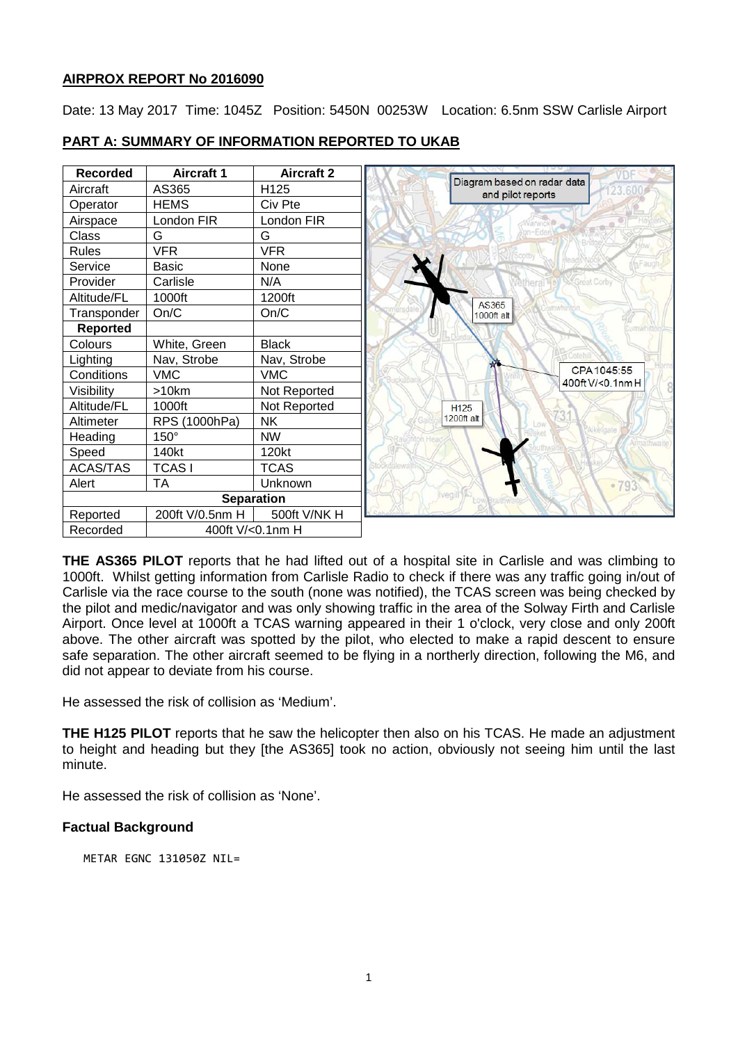# **AIRPROX REPORT No 2016090**

Date: 13 May 2017 Time: 1045Z Position: 5450N 00253W Location: 6.5nm SSW Carlisle Airport



# **PART A: SUMMARY OF INFORMATION REPORTED TO UKAB**

**THE AS365 PILOT** reports that he had lifted out of a hospital site in Carlisle and was climbing to 1000ft. Whilst getting information from Carlisle Radio to check if there was any traffic going in/out of Carlisle via the race course to the south (none was notified), the TCAS screen was being checked by the pilot and medic/navigator and was only showing traffic in the area of the Solway Firth and Carlisle Airport. Once level at 1000ft a TCAS warning appeared in their 1 o'clock, very close and only 200ft above. The other aircraft was spotted by the pilot, who elected to make a rapid descent to ensure safe separation. The other aircraft seemed to be flying in a northerly direction, following the M6, and did not appear to deviate from his course.

He assessed the risk of collision as 'Medium'.

**THE H125 PILOT** reports that he saw the helicopter then also on his TCAS. He made an adjustment to height and heading but they [the AS365] took no action, obviously not seeing him until the last minute.

He assessed the risk of collision as 'None'.

# **Factual Background**

METAR EGNC 131050Z NIL=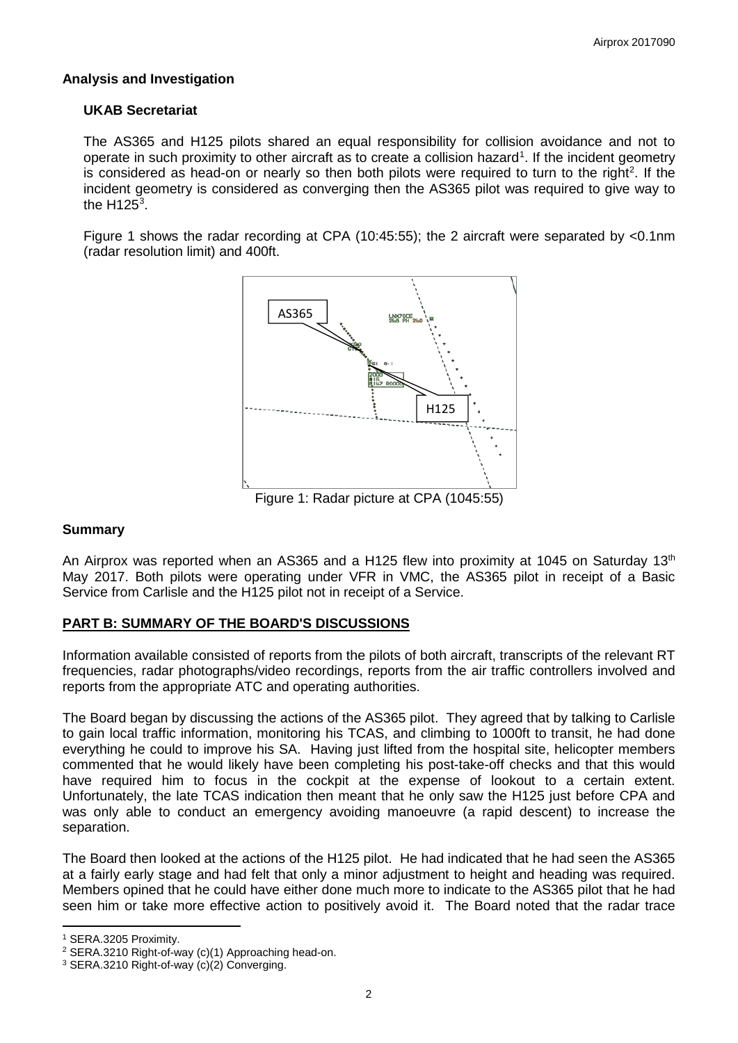# **Analysis and Investigation**

### **UKAB Secretariat**

The AS365 and H125 pilots shared an equal responsibility for collision avoidance and not to operate in such proximity to other aircraft as to create a collision hazard<sup>[1](#page-1-0)</sup>. If the incident geometry is considered as head-on or nearly so then both pilots were required to turn to the right<sup>[2](#page-1-1)</sup>. If the incident geometry is considered as converging then the AS365 pilot was required to give way to the H125 $^3$  $^3$ .

Figure 1 shows the radar recording at CPA (10:45:55); the 2 aircraft were separated by <0.1nm (radar resolution limit) and 400ft.



Figure 1: Radar picture at CPA (1045:55)

#### **Summary**

An Airprox was reported when an AS365 and a H125 flew into proximity at 1045 on Saturday 13<sup>th</sup> May 2017. Both pilots were operating under VFR in VMC, the AS365 pilot in receipt of a Basic Service from Carlisle and the H125 pilot not in receipt of a Service.

# **PART B: SUMMARY OF THE BOARD'S DISCUSSIONS**

Information available consisted of reports from the pilots of both aircraft, transcripts of the relevant RT frequencies, radar photographs/video recordings, reports from the air traffic controllers involved and reports from the appropriate ATC and operating authorities.

The Board began by discussing the actions of the AS365 pilot. They agreed that by talking to Carlisle to gain local traffic information, monitoring his TCAS, and climbing to 1000ft to transit, he had done everything he could to improve his SA. Having just lifted from the hospital site, helicopter members commented that he would likely have been completing his post-take-off checks and that this would have required him to focus in the cockpit at the expense of lookout to a certain extent. Unfortunately, the late TCAS indication then meant that he only saw the H125 just before CPA and was only able to conduct an emergency avoiding manoeuvre (a rapid descent) to increase the separation.

The Board then looked at the actions of the H125 pilot. He had indicated that he had seen the AS365 at a fairly early stage and had felt that only a minor adjustment to height and heading was required. Members opined that he could have either done much more to indicate to the AS365 pilot that he had seen him or take more effective action to positively avoid it. The Board noted that the radar trace

 $\overline{\phantom{a}}$ 

<span id="page-1-0"></span><sup>1</sup> SERA.3205 Proximity.

<span id="page-1-1"></span><sup>2</sup> SERA.3210 Right-of-way (c)(1) Approaching head-on.

<span id="page-1-2"></span><sup>3</sup> SERA.3210 Right-of-way (c)(2) Converging.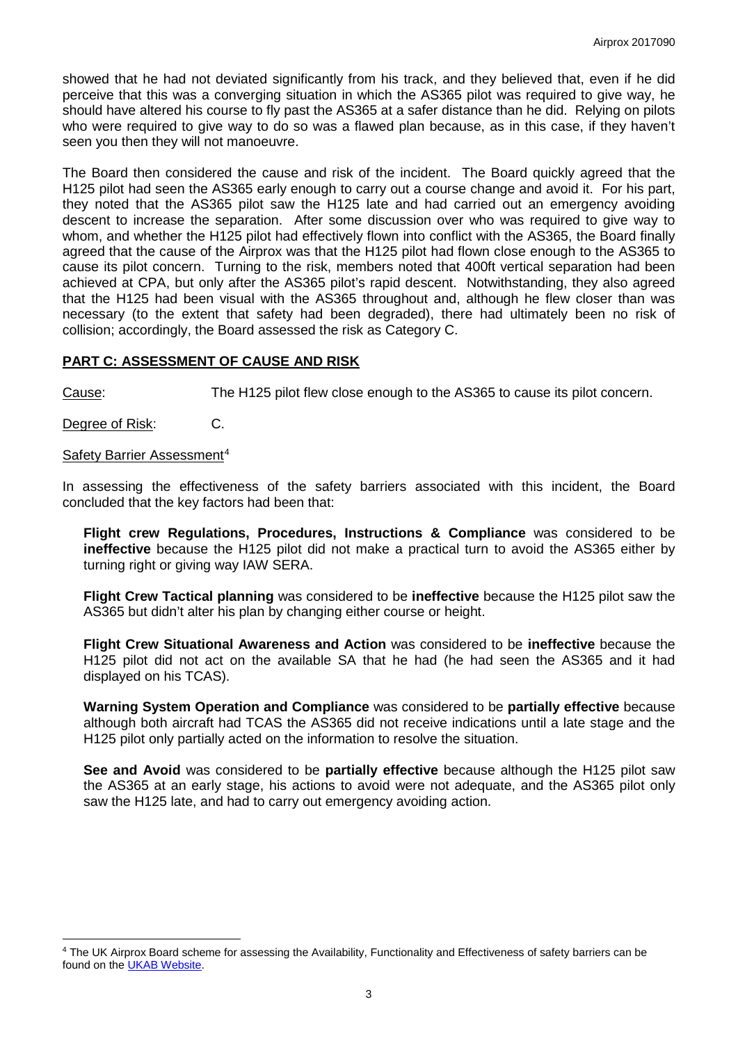showed that he had not deviated significantly from his track, and they believed that, even if he did perceive that this was a converging situation in which the AS365 pilot was required to give way, he should have altered his course to fly past the AS365 at a safer distance than he did. Relying on pilots who were required to give way to do so was a flawed plan because, as in this case, if they haven't seen you then they will not manoeuvre.

The Board then considered the cause and risk of the incident. The Board quickly agreed that the H125 pilot had seen the AS365 early enough to carry out a course change and avoid it. For his part, they noted that the AS365 pilot saw the H125 late and had carried out an emergency avoiding descent to increase the separation. After some discussion over who was required to give way to whom, and whether the H125 pilot had effectively flown into conflict with the AS365, the Board finally agreed that the cause of the Airprox was that the H125 pilot had flown close enough to the AS365 to cause its pilot concern. Turning to the risk, members noted that 400ft vertical separation had been achieved at CPA, but only after the AS365 pilot's rapid descent. Notwithstanding, they also agreed that the H125 had been visual with the AS365 throughout and, although he flew closer than was necessary (to the extent that safety had been degraded), there had ultimately been no risk of collision; accordingly, the Board assessed the risk as Category C.

### **PART C: ASSESSMENT OF CAUSE AND RISK**

Cause: The H125 pilot flew close enough to the AS365 to cause its pilot concern.

Degree of Risk: C.

l

#### Safety Barrier Assessment<sup>[4](#page-2-0)</sup>

In assessing the effectiveness of the safety barriers associated with this incident, the Board concluded that the key factors had been that:

**Flight crew Regulations, Procedures, Instructions & Compliance** was considered to be **ineffective** because the H125 pilot did not make a practical turn to avoid the AS365 either by turning right or giving way IAW SERA.

**Flight Crew Tactical planning** was considered to be **ineffective** because the H125 pilot saw the AS365 but didn't alter his plan by changing either course or height.

**Flight Crew Situational Awareness and Action** was considered to be **ineffective** because the H125 pilot did not act on the available SA that he had (he had seen the AS365 and it had displayed on his TCAS).

**Warning System Operation and Compliance** was considered to be **partially effective** because although both aircraft had TCAS the AS365 did not receive indications until a late stage and the H125 pilot only partially acted on the information to resolve the situation.

**See and Avoid** was considered to be **partially effective** because although the H125 pilot saw the AS365 at an early stage, his actions to avoid were not adequate, and the AS365 pilot only saw the H125 late, and had to carry out emergency avoiding action.

<span id="page-2-0"></span><sup>4</sup> The UK Airprox Board scheme for assessing the Availability, Functionality and Effectiveness of safety barriers can be found on the [UKAB Website.](http://www.airproxboard.org.uk/Learn-more/Airprox-Barrier-Assessment/)